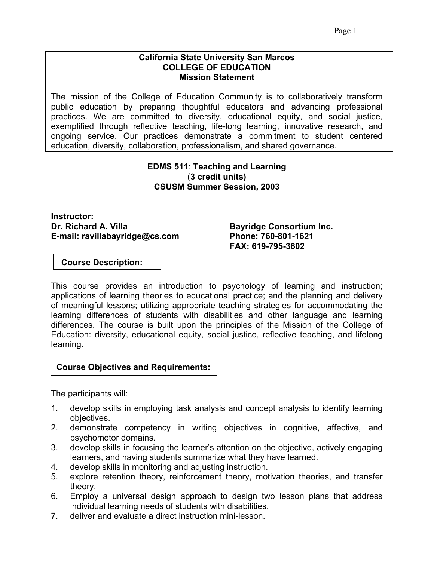#### **California State University San Marcos COLLEGE OF EDUCATION Mission Statement**

The mission of the College of Education Community is to collaboratively transform public education by preparing thoughtful educators and advancing professional practices. We are committed to diversity, educational equity, and social justice, exemplified through reflective teaching, life-long learning, innovative research, and ongoing service. Our practices demonstrate a commitment to student centered education, diversity, collaboration, professionalism, and shared governance.

## **EDMS 511**: **Teaching and Learning** (**3 credit units) CSUSM Summer Session, 2003**

**Instructor:**  Dr. Richard A. Villa **Bayridge Consortium Inc. E-mail: ravillabayridge@cs.com Phone: 760-801-1621** 

 **FAX: 619-795-3602** 

 **Course Description:** 

This course provides an introduction to psychology of learning and instruction; applications of learning theories to educational practice; and the planning and delivery of meaningful lessons; utilizing appropriate teaching strategies for accommodating the learning differences of students with disabilities and other language and learning differences. The course is built upon the principles of the Mission of the College of Education: diversity, educational equity, social justice, reflective teaching, and lifelong learning.

## **Course Objectives and Requirements:**

The participants will:

- 1. develop skills in employing task analysis and concept analysis to identify learning objectives.
- 2. demonstrate competency in writing objectives in cognitive, affective, and psychomotor domains.
- 3. develop skills in focusing the learner's attention on the objective, actively engaging learners, and having students summarize what they have learned.
- 4. develop skills in monitoring and adjusting instruction.
- 5. explore retention theory, reinforcement theory, motivation theories, and transfer theory.
- 6. Employ a universal design approach to design two lesson plans that address individual learning needs of students with disabilities.
- 7. deliver and evaluate a direct instruction mini-lesson.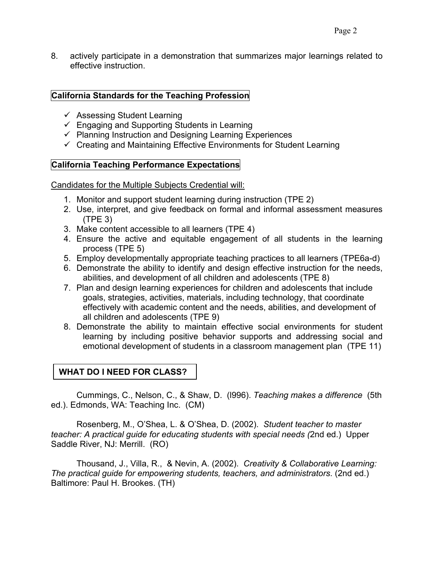8. actively participate in a demonstration that summarizes major learnings related to effective instruction.

## **California Standards for the Teaching Profession**

- $\checkmark$  Assessing Student Learning
- $\checkmark$  Engaging and Supporting Students in Learning
- $\checkmark$  Planning Instruction and Designing Learning Experiences
- $\checkmark$  Creating and Maintaining Effective Environments for Student Learning

## **California Teaching Performance Expectations**

Candidates for the Multiple Subjects Credential will:

- 1. Monitor and support student learning during instruction (TPE 2)
- 2. Use, interpret, and give feedback on formal and informal assessment measures (TPE 3)
- 3. Make content accessible to all learners (TPE 4)
- 4. Ensure the active and equitable engagement of all students in the learning process (TPE 5)
- 5. Employ developmentally appropriate teaching practices to all learners (TPE6a-d)
- 6. Demonstrate the ability to identify and design effective instruction for the needs, abilities, and development of all children and adolescents (TPE 8)
- 7. Plan and design learning experiences for children and adolescents that include goals, strategies, activities, materials, including technology, that coordinate effectively with academic content and the needs, abilities, and development of all children and adolescents (TPE 9)
- 8. Demonstrate the ability to maintain effective social environments for student learning by including positive behavior supports and addressing social and emotional development of students in a classroom management plan (TPE 11)

# **WHAT DO I NEED FOR CLASS?**

Cummings, C., Nelson, C., & Shaw, D. (l996). *Teaching makes a difference* (5th ed.). Edmonds, WA: Teaching Inc. (CM)

Rosenberg, M., O'Shea, L. & O'Shea, D. (2002). *Student teacher to master teacher: A practical guide for educating students with special needs (*2nd ed.) Upper Saddle River, NJ: Merrill. (RO)

Thousand, J., Villa, R., & Nevin, A. (2002). *Creativity & Collaborative Learning: The practical guide for empowering students, teachers, and administrators*. (2nd ed.) Baltimore: Paul H. Brookes. (TH)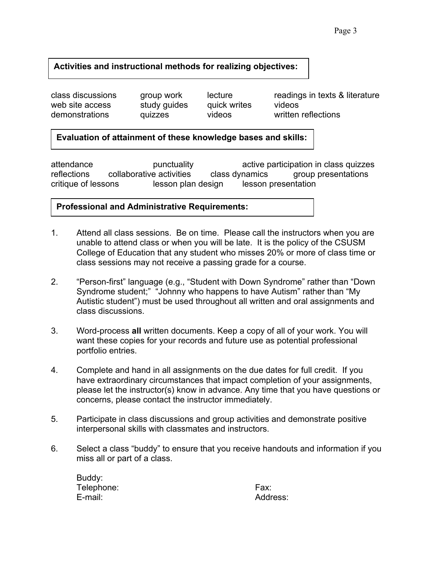# **Activities and instructional methods for realizing objectives:**

web site access study guides quick writes videos

class discussions group work lecture readings in texts & literature<br>web site access study guides quick writes videos demonstrations quizzes videos written reflections

# **Evaluation of attainment of these knowledge bases and skills:**

attendance punctuality active participation in class quizzes reflections collaborative activities class dynamics group presentations critique of lessons lesson plan design lesson presentation

## **Professional and Administrative Requirements:**

- 1. Attend all class sessions. Be on time. Please call the instructors when you are unable to attend class or when you will be late. It is the policy of the CSUSM College of Education that any student who misses 20% or more of class time or class sessions may not receive a passing grade for a course.
- 2. "Person-first" language (e.g., "Student with Down Syndrome" rather than "Down Syndrome student;" "Johnny who happens to have Autism" rather than "My Autistic student") must be used throughout all written and oral assignments and class discussions.
- 3. Word-process **all** written documents. Keep a copy of all of your work. You will want these copies for your records and future use as potential professional portfolio entries.
- 4. Complete and hand in all assignments on the due dates for full credit. If you have extraordinary circumstances that impact completion of your assignments, please let the instructor(s) know in advance. Any time that you have questions or concerns, please contact the instructor immediately.
- 5. Participate in class discussions and group activities and demonstrate positive interpersonal skills with classmates and instructors.
- 6. Select a class "buddy" to ensure that you receive handouts and information if you miss all or part of a class.

| Buddy:     |      |
|------------|------|
| Telephone: | Fax: |
| E-mail:    | Addr |

Address: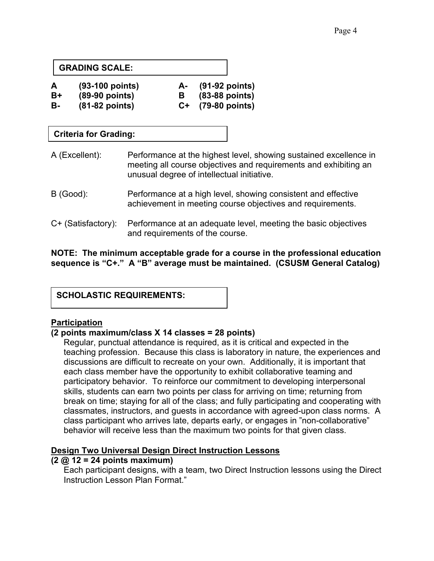## **GRADING SCALE:**

| $(93-100$ points) | (91-92 points) |
|-------------------|----------------|
|                   |                |

- **B+ (89-90 points) B (83-88 points)**
- **B- (81-82 points) C+ (79-80 points)**

# **Criteria for Grading:**

- A (Excellent): Performance at the highest level, showing sustained excellence in meeting all course objectives and requirements and exhibiting an unusual degree of intellectual initiative.
- B (Good): Performance at a high level, showing consistent and effective achievement in meeting course objectives and requirements.
- C+ (Satisfactory): Performance at an adequate level, meeting the basic objectives and requirements of the course.

**NOTE: The minimum acceptable grade for a course in the professional education sequence is "C+." A "B" average must be maintained. (CSUSM General Catalog)**

# **Participation**

## **(2 points maximum/class X 14 classes = 28 points)**

Regular, punctual attendance is required, as it is critical and expected in the teaching profession. Because this class is laboratory in nature, the experiences and discussions are difficult to recreate on your own. Additionally, it is important that each class member have the opportunity to exhibit collaborative teaming and participatory behavior. To reinforce our commitment to developing interpersonal skills, students can earn two points per class for arriving on time; returning from break on time; staying for all of the class; and fully participating and cooperating with classmates, instructors, and guests in accordance with agreed-upon class norms. A class participant who arrives late, departs early, or engages in "non-collaborative" behavior will receive less than the maximum two points for that given class.

## **Design Two Universal Design Direct Instruction Lessons**

## **(2 @ 12 = 24 points maximum)**

Each participant designs, with a team, two Direct Instruction lessons using the Direct Instruction Lesson Plan Format."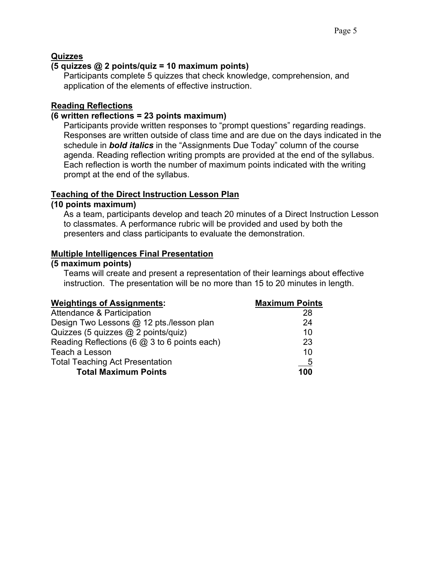# **Quizzes**

## **(5 quizzes @ 2 points/quiz = 10 maximum points)**

Participants complete 5 quizzes that check knowledge, comprehension, and application of the elements of effective instruction.

## **Reading Reflections**

#### **(6 written reflections = 23 points maximum)**

Participants provide written responses to "prompt questions" regarding readings. Responses are written outside of class time and are due on the days indicated in the schedule in *bold italics* in the "Assignments Due Today" column of the course agenda. Reading reflection writing prompts are provided at the end of the syllabus. Each reflection is worth the number of maximum points indicated with the writing prompt at the end of the syllabus.

#### **Teaching of the Direct Instruction Lesson Plan**

#### **(10 points maximum)**

As a team, participants develop and teach 20 minutes of a Direct Instruction Lesson to classmates. A performance rubric will be provided and used by both the presenters and class participants to evaluate the demonstration.

#### **Multiple Intelligences Final Presentation**

#### **(5 maximum points)**

Teams will create and present a representation of their learnings about effective instruction. The presentation will be no more than 15 to 20 minutes in length.

| <b>Weightings of Assignments:</b>            | <b>Maximum Points</b>     |
|----------------------------------------------|---------------------------|
| Attendance & Participation                   | 28                        |
| Design Two Lessons @ 12 pts./lesson plan     | 24                        |
| Quizzes (5 quizzes @ 2 points/quiz)          | 10                        |
| Reading Reflections (6 @ 3 to 6 points each) | 23                        |
| Teach a Lesson                               | 10                        |
| <b>Total Teaching Act Presentation</b>       | $\underline{\phantom{0}}$ |
| <b>Total Maximum Points</b>                  | 100                       |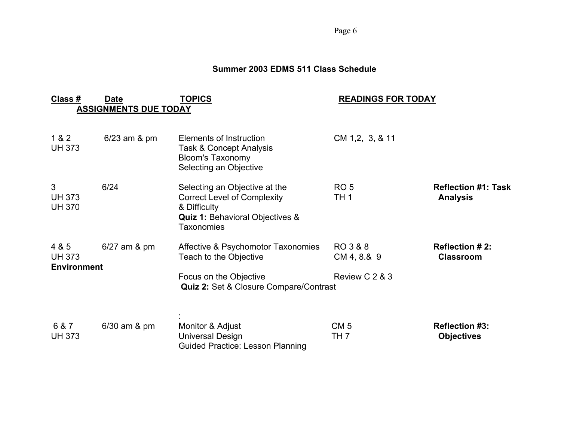Page 6

#### **Summer 2003 EDMS 511 Class Schedule**

| Class #                                      | <b>Date</b><br><b>ASSIGNMENTS DUE TODAY</b> | TOPICS                                                                                                                                          | <b>READINGS FOR TODAY</b>                 |                                               |
|----------------------------------------------|---------------------------------------------|-------------------------------------------------------------------------------------------------------------------------------------------------|-------------------------------------------|-----------------------------------------------|
| 1 & 2<br><b>UH 373</b>                       | $6/23$ am $8$ pm                            | Elements of Instruction<br><b>Task &amp; Concept Analysis</b><br><b>Bloom's Taxonomy</b><br>Selecting an Objective                              | CM 1,2, 3, & 11                           |                                               |
| 3<br><b>UH 373</b><br><b>UH 370</b>          | 6/24                                        | Selecting an Objective at the<br><b>Correct Level of Complexity</b><br>& Difficulty<br><b>Quiz 1: Behavioral Objectives &amp;</b><br>Taxonomies | RO <sub>5</sub><br>TH <sub>1</sub>        | <b>Reflection #1: Task</b><br><b>Analysis</b> |
| 4 & 5<br><b>UH 373</b><br><b>Environment</b> | $6/27$ am $&$ pm                            | Affective & Psychomotor Taxonomies<br>Teach to the Objective<br>Focus on the Objective<br><b>Quiz 2: Set &amp; Closure Compare/Contrast</b>     | RO 3 & 8<br>CM 4, 8.& 9<br>Review C 2 & 3 | <b>Reflection #2:</b><br><b>Classroom</b>     |
| 6 & 7<br><b>UH 373</b>                       | $6/30$ am $\&$ pm                           | Monitor & Adjust<br><b>Universal Design</b><br><b>Guided Practice: Lesson Planning</b>                                                          | CM <sub>5</sub><br>TH 7                   | <b>Reflection #3:</b><br><b>Objectives</b>    |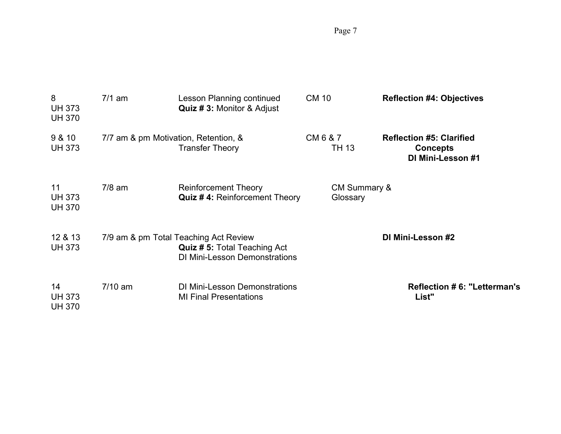Page 7

| 8<br><b>UH 373</b><br><b>UH 370</b>  | $7/1$ am                             | Lesson Planning continued<br><b>Quiz #3: Monitor &amp; Adjust</b>                                                   | <b>CM 10</b>                        | <b>Reflection #4: Objectives</b>                                        |
|--------------------------------------|--------------------------------------|---------------------------------------------------------------------------------------------------------------------|-------------------------------------|-------------------------------------------------------------------------|
| 9 & 10<br><b>UH 373</b>              | 7/7 am & pm Motivation, Retention, & | <b>Transfer Theory</b>                                                                                              | CM 6 & 7<br>TH 13                   | <b>Reflection #5: Clarified</b><br><b>Concepts</b><br>DI Mini-Lesson #1 |
| 11<br><b>UH 373</b><br><b>UH 370</b> | $7/8$ am                             | <b>Reinforcement Theory</b><br><b>Quiz #4: Reinforcement Theory</b>                                                 | <b>CM Summary &amp;</b><br>Glossary |                                                                         |
| 12 & 13<br><b>UH 373</b>             |                                      | 7/9 am & pm Total Teaching Act Review<br><b>Quiz #5: Total Teaching Act</b><br><b>DI Mini-Lesson Demonstrations</b> |                                     | DI Mini-Lesson #2                                                       |
| 14<br><b>UH 373</b><br><b>UH 370</b> | $7/10$ am                            | <b>DI Mini-Lesson Demonstrations</b><br><b>MI Final Presentations</b>                                               |                                     | <b>Reflection #6: "Letterman's</b><br>List"                             |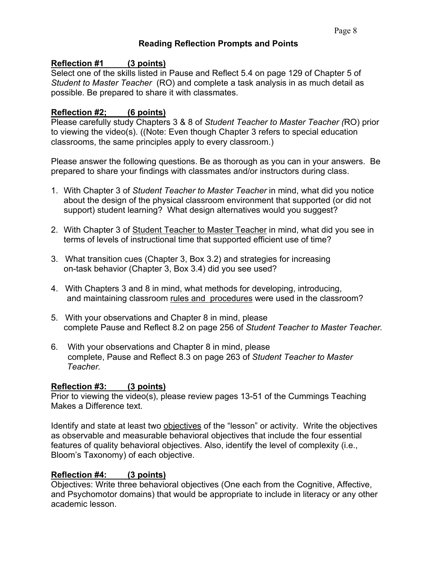## **Reading Reflection Prompts and Points**

## **Reflection #1 (3 points)**

Select one of the skills listed in Pause and Reflect 5.4 on page 129 of Chapter 5 of *Student to Master Teacher* (RO) and complete a task analysis in as much detail as possible. Be prepared to share it with classmates.

## **Reflection #2; (6 points)**

Please carefully study Chapters 3 & 8 of *Student Teacher to Master Teacher (*RO) prior to viewing the video(s). ((Note: Even though Chapter 3 refers to special education classrooms, the same principles apply to every classroom.)

Please answer the following questions. Be as thorough as you can in your answers. Be prepared to share your findings with classmates and/or instructors during class.

- 1. With Chapter 3 of *Student Teacher to Master Teacher* in mind, what did you notice about the design of the physical classroom environment that supported (or did not support) student learning? What design alternatives would you suggest?
- 2. With Chapter 3 of Student Teacher to Master Teacher in mind, what did you see in terms of levels of instructional time that supported efficient use of time?
- 3. What transition cues (Chapter 3, Box 3.2) and strategies for increasing on-task behavior (Chapter 3, Box 3.4) did you see used?
- 4. With Chapters 3 and 8 in mind, what methods for developing, introducing, and maintaining classroom rules and procedures were used in the classroom?
- 5. With your observations and Chapter 8 in mind, please complete Pause and Reflect 8.2 on page 256 of *Student Teacher to Master Teacher.*
- 6. With your observations and Chapter 8 in mind, please complete, Pause and Reflect 8.3 on page 263 of *Student Teacher to Master Teacher.*

# **Reflection #3: (3 points)**

Prior to viewing the video(s), please review pages 13-51 of the Cummings Teaching Makes a Difference text.

Identify and state at least two objectives of the "lesson" or activity. Write the objectives as observable and measurable behavioral objectives that include the four essential features of quality behavioral objectives. Also, identify the level of complexity (i.e., Bloom's Taxonomy) of each objective.

# **Reflection #4: (3 points)**

Objectives: Write three behavioral objectives (One each from the Cognitive, Affective, and Psychomotor domains) that would be appropriate to include in literacy or any other academic lesson.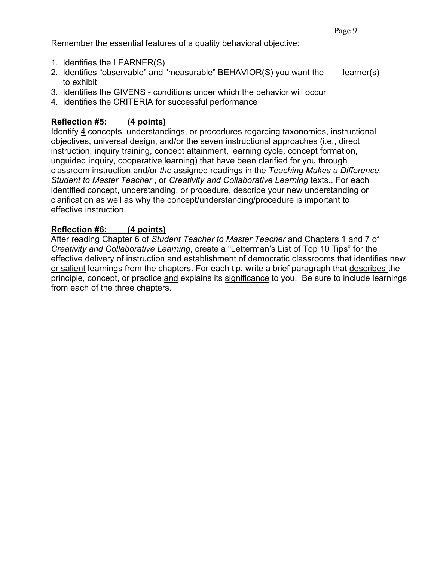Remember the essential features of a quality behavioral objective:

- 1. Identifies the LEARNER(S)
- 2. Identifies "observable" and "measurable" BEHAVIOR(S) you want the learner(s) to exhibit
- 3. Identifies the GIVENS conditions under which the behavior will occur
- 4. Identifies the CRITERIA for successful performance

# **Reflection #5: (4 points)**

Identify 4 concepts, understandings, or procedures regarding taxonomies, instructional objectives, universal design, and/or the seven instructional approaches (i.e., direct instruction, inquiry training, concept attainment, learning cycle, concept formation, unguided inquiry, cooperative learning) that have been clarified for you through classroom instruction and/or *the* assigned readings in the *Teaching Makes a Difference*, *Student to Master Teacher* , or *Creativity and Collaborative Learning* texts.. For each identified concept, understanding, or procedure, describe your new understanding or clarification as well as why the concept/understanding/procedure is important to effective instruction.

# **Reflection #6: (4 points)**

After reading Chapter 6 of *Student Teacher to Master Teacher* and Chapters 1 and 7 of *Creativity and Collaborative Learning*, create a "Letterman's List of Top 10 Tips" for the effective delivery of instruction and establishment of democratic classrooms that identifies new or salient learnings from the chapters. For each tip, write a brief paragraph that describes the principle, concept, or practice and explains its significance to you. Be sure to include learnings from each of the three chapters.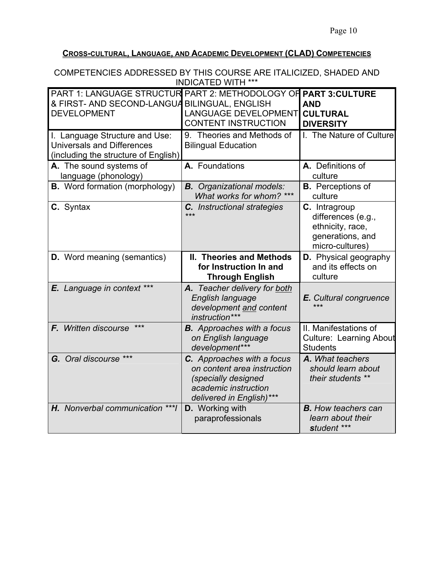# **CROSS-CULTURAL, LANGUAGE, AND ACADEMIC DEVELOPMENT (CLAD) COMPETENCIES**

| COMPETENCIES ADDRESSED BY THIS COURSE ARE ITALICIZED, SHADED AND<br><b>INDICATED WITH ***</b>                                           |                                                                                                                                      |                                                                                                |  |
|-----------------------------------------------------------------------------------------------------------------------------------------|--------------------------------------------------------------------------------------------------------------------------------------|------------------------------------------------------------------------------------------------|--|
| PART 1: LANGUAGE STRUCTUR PART 2: METHODOLOGY OF PART 3: CULTURE<br>& FIRST- AND SECOND-LANGUA BILINGUAL, ENGLISH<br><b>DEVELOPMENT</b> | <b>LANGUAGE DEVELOPMENT</b><br><b>CONTENT INSTRUCTION</b>                                                                            | <b>AND</b><br><b>CULTURAL</b><br><b>DIVERSITY</b>                                              |  |
| I. Language Structure and Use:<br><b>Universals and Differences</b><br>(including the structure of English)                             | 9. Theories and Methods of<br><b>Bilingual Education</b>                                                                             | I. The Nature of Culture                                                                       |  |
| A. The sound systems of<br>language (phonology)                                                                                         | A. Foundations                                                                                                                       | A. Definitions of<br>culture                                                                   |  |
| <b>B.</b> Word formation (morphology)                                                                                                   | <b>B.</b> Organizational models:<br>What works for whom? ***                                                                         | <b>B.</b> Perceptions of<br>culture                                                            |  |
| C. Syntax                                                                                                                               | C. Instructional strategies<br>***                                                                                                   | C. Intragroup<br>differences (e.g.,<br>ethnicity, race,<br>generations, and<br>micro-cultures) |  |
| <b>D.</b> Word meaning (semantics)                                                                                                      | <b>II. Theories and Methods</b><br>for Instruction In and<br><b>Through English</b>                                                  | <b>D.</b> Physical geography<br>and its effects on<br>culture                                  |  |
| E. Language in context ***                                                                                                              | A. Teacher delivery for both<br>English language<br>development and content<br>instruction***                                        | E. Cultural congruence<br>***                                                                  |  |
| $***$<br>F. Written discourse                                                                                                           | <b>B.</b> Approaches with a focus<br>on English language<br>development***                                                           | II. Manifestations of<br><b>Culture: Learning About</b><br><b>Students</b>                     |  |
| G. Oral discourse ***                                                                                                                   | C. Approaches with a focus<br>on content area instruction<br>(specially designed<br>academic instruction<br>delivered in English)*** | A. What teachers<br>should learn about<br>their students **                                    |  |
| H. Nonverbal communication *** I                                                                                                        | <b>D.</b> Working with<br>paraprofessionals                                                                                          | <b>B.</b> How teachers can<br>learn about their<br>student ***                                 |  |